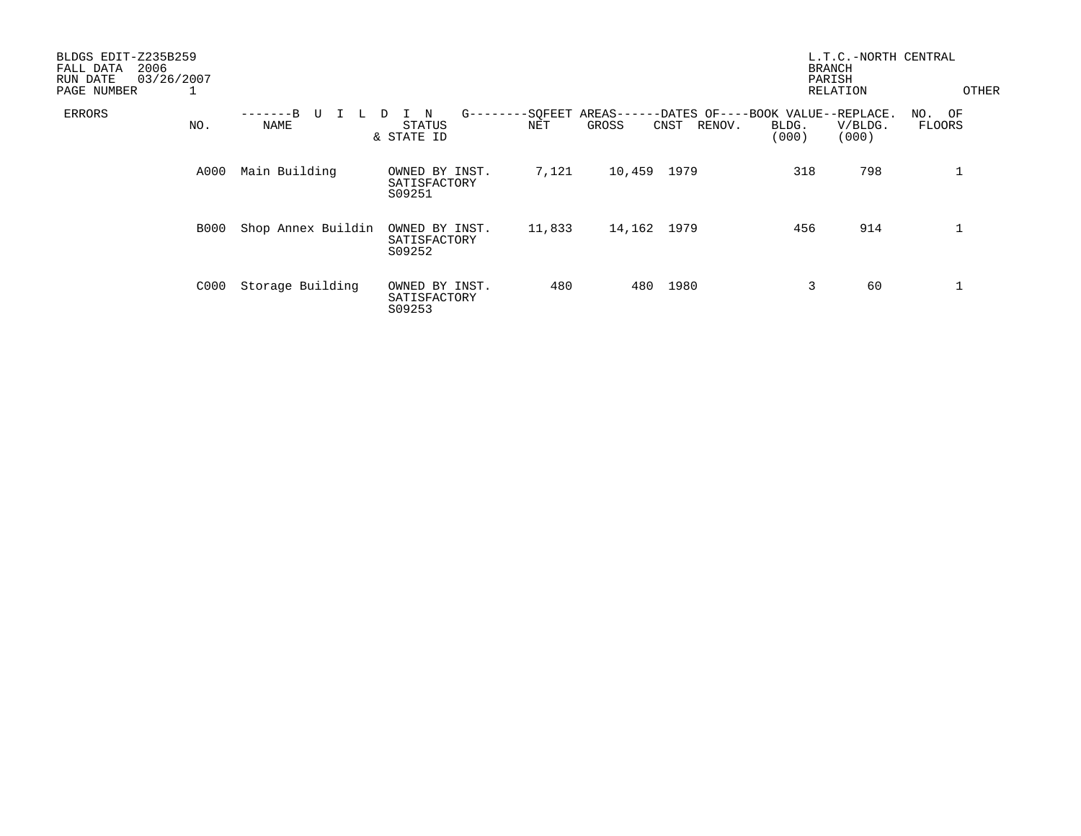| BLDGS EDIT-Z235B259<br>2006<br>FALL DATA<br>03/26/2007<br>RUN DATE<br>PAGE NUMBER<br>T |                          |                                                        |        |                                                                                 |                | L.T.C.-NORTH CENTRAL<br><b>BRANCH</b><br>PARISH<br>RELATION | OTHER                   |
|----------------------------------------------------------------------------------------|--------------------------|--------------------------------------------------------|--------|---------------------------------------------------------------------------------|----------------|-------------------------------------------------------------|-------------------------|
| ERRORS<br>NO.                                                                          | -------B U<br>L.<br>NAME | $G$ ------<br>$\mathbf N$<br>D<br>STATUS<br>& STATE ID | NET    | --SOFEET AREAS------DATES OF----BOOK VALUE--REPLACE.<br>GROSS<br>RENOV.<br>CNST | BLDG.<br>(000) | V/BLDG.<br>(000)                                            | NO. OF<br><b>FLOORS</b> |
| A000                                                                                   | Main Building            | OWNED BY INST.<br>SATISFACTORY<br>S09251               | 7,121  | 10,459<br>1979                                                                  | 318            | 798                                                         | $\mathbf 1$             |
| <b>B000</b>                                                                            | Shop Annex Buildin       | OWNED BY INST.<br>SATISFACTORY<br>S09252               | 11,833 | 14,162 1979                                                                     | 456            | 914                                                         |                         |
| C000                                                                                   | Storage Building         | OWNED BY INST.<br>SATISFACTORY<br>S09253               | 480    | 1980<br>480                                                                     | 3              | 60                                                          |                         |